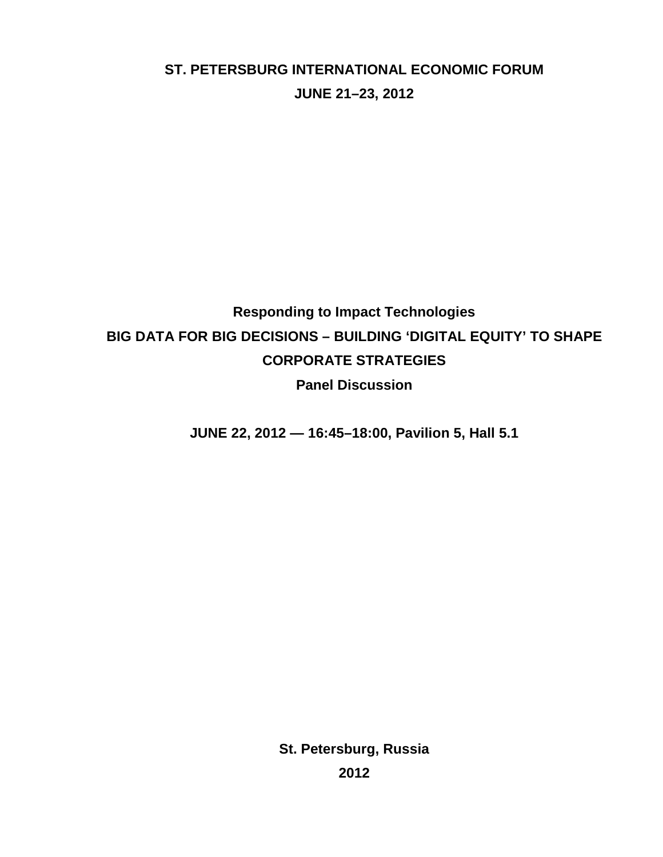# **ST. PETERSBURG INTERNATIONAL ECONOMIC FORUM JUNE 21–23, 2012**

# **Responding to Impact Technologies BIG DATA FOR BIG DECISIONS – BUILDING 'DIGITAL EQUITY' TO SHAPE CORPORATE STRATEGIES Panel Discussion**

**JUNE 22, 2012 — 16:45–18:00, Pavilion 5, Hall 5.1**

**St. Petersburg, Russia 2012**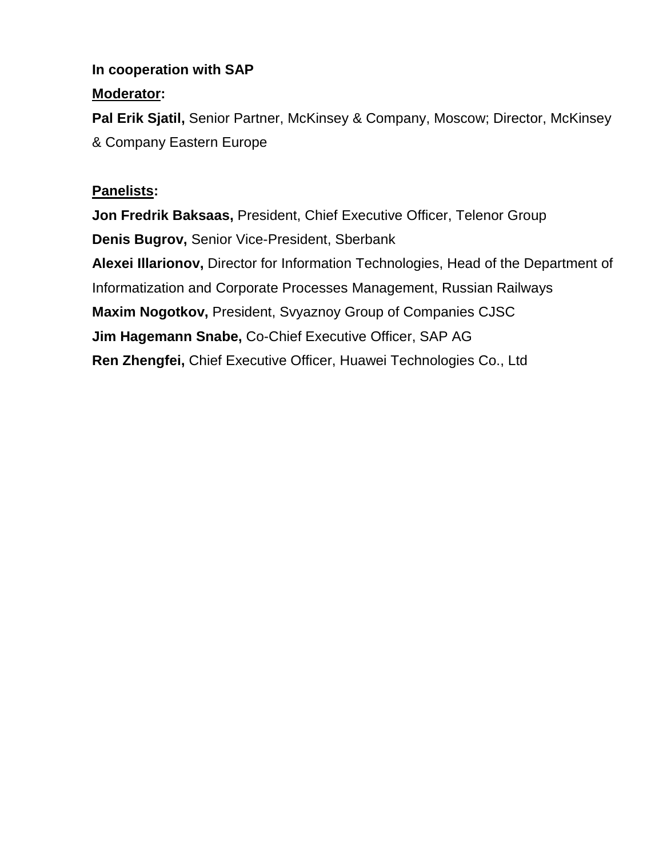# **In cooperation with SAP**

# **Moderator:**

**Pal Erik Sjatil,** Senior Partner, McKinsey & Company, Moscow; Director, McKinsey & Company Eastern Europe

# **Panelists:**

**Jon Fredrik Baksaas,** President, Chief Executive Officer, Telenor Group **Denis Bugrov,** Senior Vice-President, Sberbank **Alexei Illarionov,** Director for Information Technologies, Head of the Department of Informatization and Corporate Processes Management, Russian Railways **Maxim Nogotkov,** President, Svyaznoy Group of Companies CJSC **Jim Hagemann Snabe,** Co-Chief Executive Officer, SAP AG **Ren Zhengfei,** Chief Executive Officer, Huawei Technologies Co., Ltd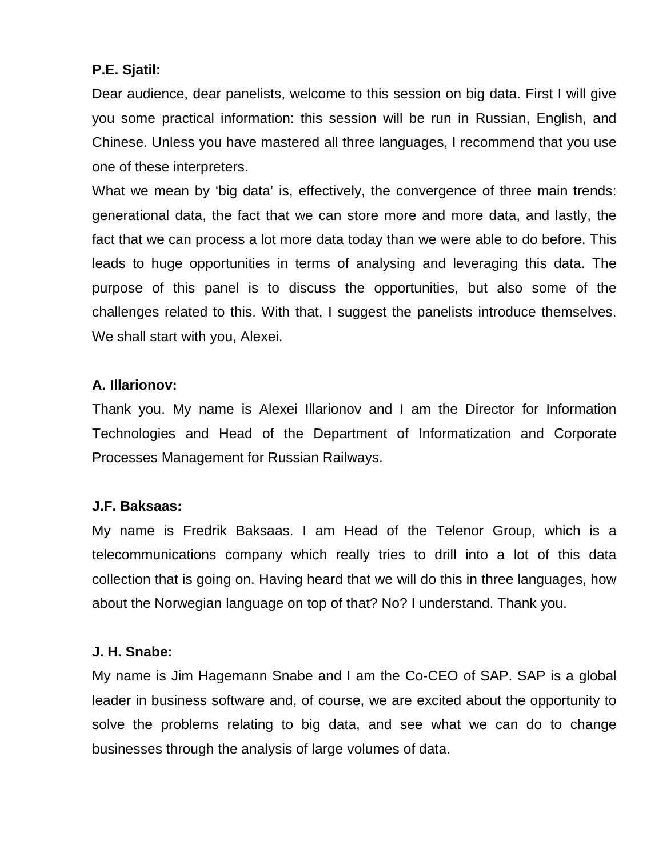# **P.E. Sjatil:**

Dear audience, dear panelists, welcome to this session on big data. First I will give you some practical information: this session will be run in Russian, English, and Chinese. Unless you have mastered all three languages, I recommend that you use one of these interpreters.

What we mean by 'big data' is, effectively, the convergence of three main trends: generational data, the fact that we can store more and more data, and lastly, the fact that we can process a lot more data today than we were able to do before. This leads to huge opportunities in terms of analysing and leveraging this data. The purpose of this panel is to discuss the opportunities, but also some of the challenges related to this. With that, I suggest the panelists introduce themselves. We shall start with you, Alexei.

### **A. Illarionov:**

Thank you. My name is Alexei Illarionov and I am the Director for Information Technologies and Head of the Department of Informatization and Corporate Processes Management for Russian Railways.

# **J.F. Baksaas:**

My name is Fredrik Baksaas. I am Head of the Telenor Group, which is a telecommunications company which really tries to drill into a lot of this data collection that is going on. Having heard that we will do this in three languages, how about the Norwegian language on top of that? No? I understand. Thank you.

### **J. H. Snabe:**

My name is Jim Hagemann Snabe and I am the Co-CEO of SAP. SAP is a global leader in business software and, of course, we are excited about the opportunity to solve the problems relating to big data, and see what we can do to change businesses through the analysis of large volumes of data.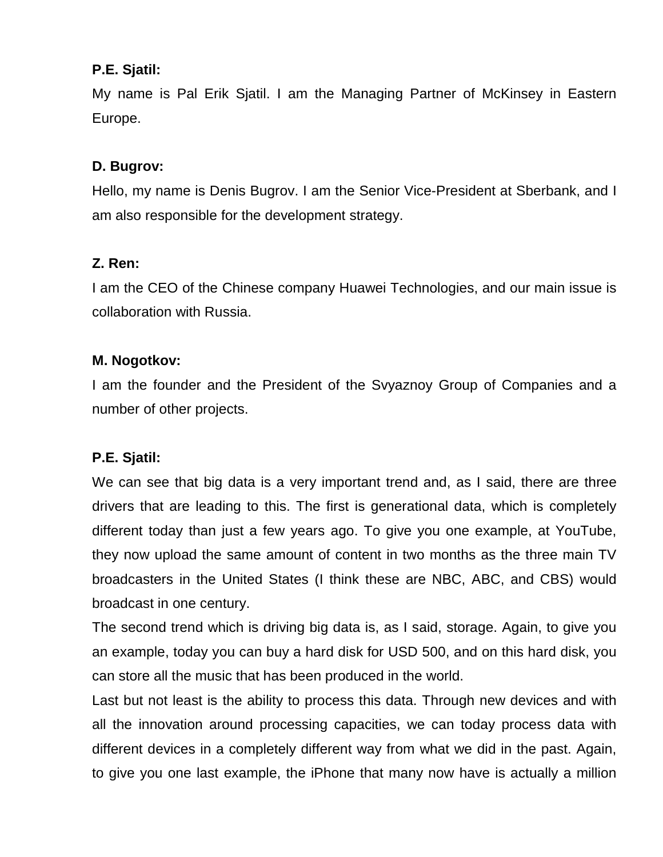# **P.E. Sjatil:**

My name is Pal Erik Sjatil. I am the Managing Partner of McKinsey in Eastern Europe.

# **D. Bugrov:**

Hello, my name is Denis Bugrov. I am the Senior Vice-President at Sberbank, and I am also responsible for the development strategy.

# **Z. Ren:**

I am the CEO of the Chinese company Huawei Technologies, and our main issue is collaboration with Russia.

# **M. Nogotkov:**

I am the founder and the President of the Svyaznoy Group of Companies and a number of other projects.

# **P.E. Sjatil:**

We can see that big data is a very important trend and, as I said, there are three drivers that are leading to this. The first is generational data, which is completely different today than just a few years ago. To give you one example, at YouTube, they now upload the same amount of content in two months as the three main TV broadcasters in the United States (I think these are NBC, ABC, and CBS) would broadcast in one century.

The second trend which is driving big data is, as I said, storage. Again, to give you an example, today you can buy a hard disk for USD 500, and on this hard disk, you can store all the music that has been produced in the world.

Last but not least is the ability to process this data. Through new devices and with all the innovation around processing capacities, we can today process data with different devices in a completely different way from what we did in the past. Again, to give you one last example, the iPhone that many now have is actually a million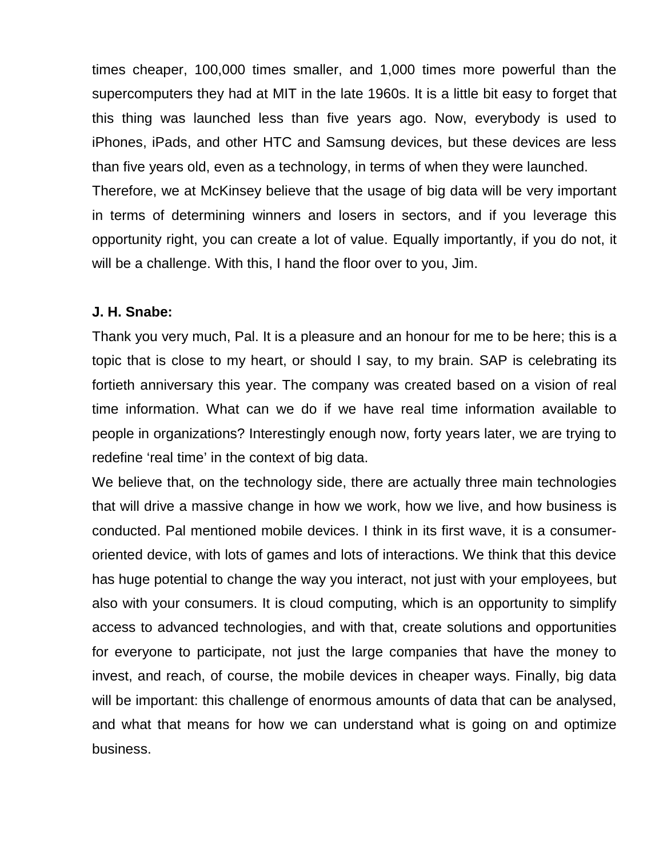times cheaper, 100,000 times smaller, and 1,000 times more powerful than the supercomputers they had at MIT in the late 1960s. It is a little bit easy to forget that this thing was launched less than five years ago. Now, everybody is used to iPhones, iPads, and other HTC and Samsung devices, but these devices are less than five years old, even as a technology, in terms of when they were launched. Therefore, we at McKinsey believe that the usage of big data will be very important in terms of determining winners and losers in sectors, and if you leverage this opportunity right, you can create a lot of value. Equally importantly, if you do not, it will be a challenge. With this, I hand the floor over to you, Jim.

#### **J. H. Snabe:**

Thank you very much, Pal. It is a pleasure and an honour for me to be here; this is a topic that is close to my heart, or should I say, to my brain. SAP is celebrating its fortieth anniversary this year. The company was created based on a vision of real time information. What can we do if we have real time information available to people in organizations? Interestingly enough now, forty years later, we are trying to redefine 'real time' in the context of big data.

We believe that, on the technology side, there are actually three main technologies that will drive a massive change in how we work, how we live, and how business is conducted. Pal mentioned mobile devices. I think in its first wave, it is a consumeroriented device, with lots of games and lots of interactions. We think that this device has huge potential to change the way you interact, not just with your employees, but also with your consumers. It is cloud computing, which is an opportunity to simplify access to advanced technologies, and with that, create solutions and opportunities for everyone to participate, not just the large companies that have the money to invest, and reach, of course, the mobile devices in cheaper ways. Finally, big data will be important: this challenge of enormous amounts of data that can be analysed, and what that means for how we can understand what is going on and optimize business.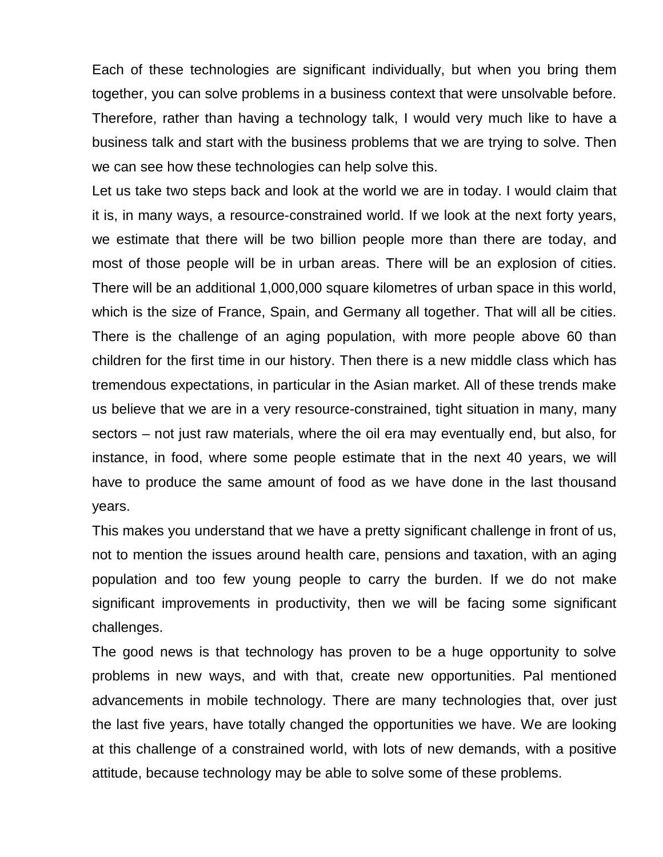Each of these technologies are significant individually, but when you bring them together, you can solve problems in a business context that were unsolvable before. Therefore, rather than having a technology talk, I would very much like to have a business talk and start with the business problems that we are trying to solve. Then we can see how these technologies can help solve this.

Let us take two steps back and look at the world we are in today. I would claim that it is, in many ways, a resource-constrained world. If we look at the next forty years, we estimate that there will be two billion people more than there are today, and most of those people will be in urban areas. There will be an explosion of cities. There will be an additional 1,000,000 square kilometres of urban space in this world, which is the size of France, Spain, and Germany all together. That will all be cities. There is the challenge of an aging population, with more people above 60 than children for the first time in our history. Then there is a new middle class which has tremendous expectations, in particular in the Asian market. All of these trends make us believe that we are in a very resource-constrained, tight situation in many, many sectors – not just raw materials, where the oil era may eventually end, but also, for instance, in food, where some people estimate that in the next 40 years, we will have to produce the same amount of food as we have done in the last thousand years.

This makes you understand that we have a pretty significant challenge in front of us, not to mention the issues around health care, pensions and taxation, with an aging population and too few young people to carry the burden. If we do not make significant improvements in productivity, then we will be facing some significant challenges.

The good news is that technology has proven to be a huge opportunity to solve problems in new ways, and with that, create new opportunities. Pal mentioned advancements in mobile technology. There are many technologies that, over just the last five years, have totally changed the opportunities we have. We are looking at this challenge of a constrained world, with lots of new demands, with a positive attitude, because technology may be able to solve some of these problems.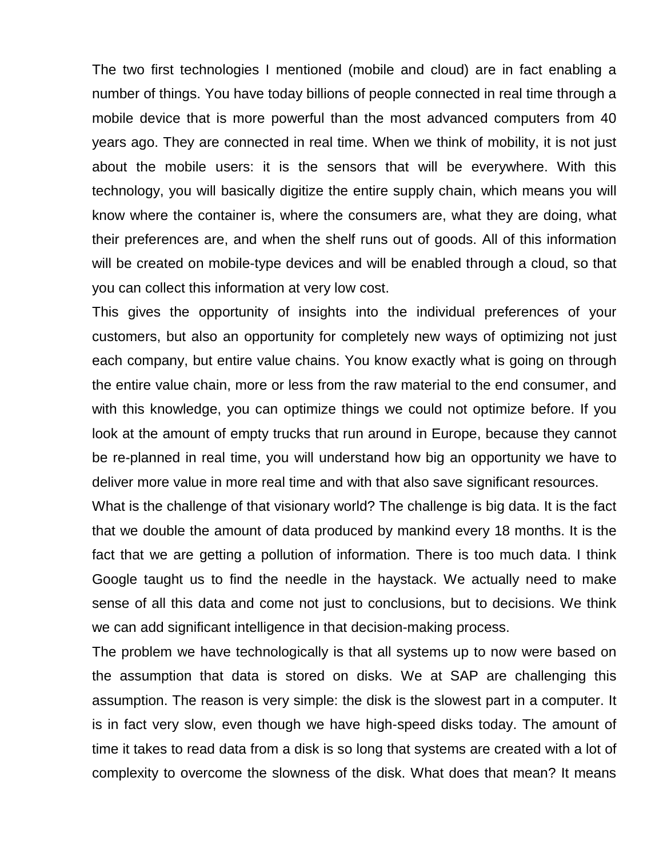The two first technologies I mentioned (mobile and cloud) are in fact enabling a number of things. You have today billions of people connected in real time through a mobile device that is more powerful than the most advanced computers from 40 years ago. They are connected in real time. When we think of mobility, it is not just about the mobile users: it is the sensors that will be everywhere. With this technology, you will basically digitize the entire supply chain, which means you will know where the container is, where the consumers are, what they are doing, what their preferences are, and when the shelf runs out of goods. All of this information will be created on mobile-type devices and will be enabled through a cloud, so that you can collect this information at very low cost.

This gives the opportunity of insights into the individual preferences of your customers, but also an opportunity for completely new ways of optimizing not just each company, but entire value chains. You know exactly what is going on through the entire value chain, more or less from the raw material to the end consumer, and with this knowledge, you can optimize things we could not optimize before. If you look at the amount of empty trucks that run around in Europe, because they cannot be re-planned in real time, you will understand how big an opportunity we have to deliver more value in more real time and with that also save significant resources.

What is the challenge of that visionary world? The challenge is big data. It is the fact that we double the amount of data produced by mankind every 18 months. It is the fact that we are getting a pollution of information. There is too much data. I think Google taught us to find the needle in the haystack. We actually need to make sense of all this data and come not just to conclusions, but to decisions. We think we can add significant intelligence in that decision-making process.

The problem we have technologically is that all systems up to now were based on the assumption that data is stored on disks. We at SAP are challenging this assumption. The reason is very simple: the disk is the slowest part in a computer. It is in fact very slow, even though we have high-speed disks today. The amount of time it takes to read data from a disk is so long that systems are created with a lot of complexity to overcome the slowness of the disk. What does that mean? It means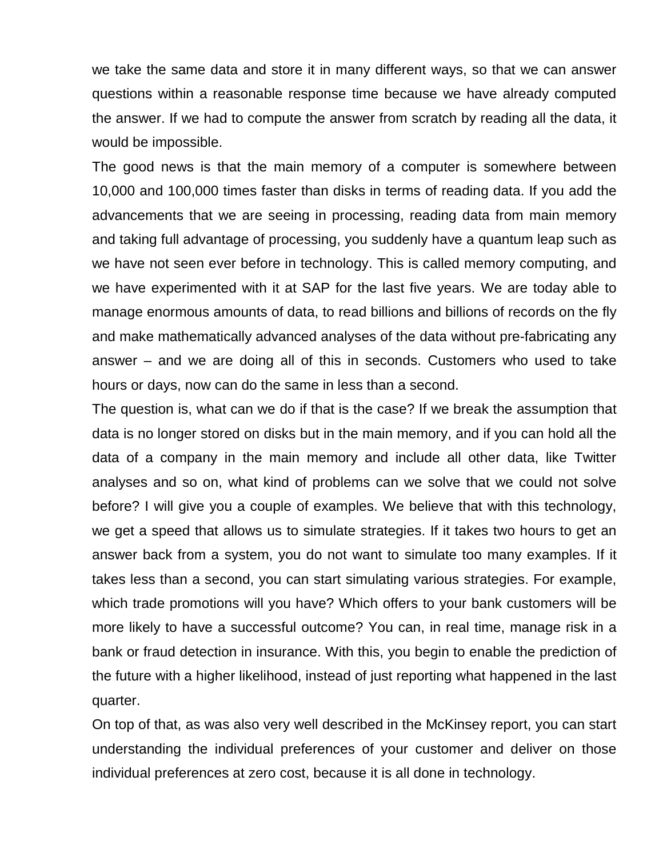we take the same data and store it in many different ways, so that we can answer questions within a reasonable response time because we have already computed the answer. If we had to compute the answer from scratch by reading all the data, it would be impossible.

The good news is that the main memory of a computer is somewhere between 10,000 and 100,000 times faster than disks in terms of reading data. If you add the advancements that we are seeing in processing, reading data from main memory and taking full advantage of processing, you suddenly have a quantum leap such as we have not seen ever before in technology. This is called memory computing, and we have experimented with it at SAP for the last five years. We are today able to manage enormous amounts of data, to read billions and billions of records on the fly and make mathematically advanced analyses of the data without pre-fabricating any answer – and we are doing all of this in seconds. Customers who used to take hours or days, now can do the same in less than a second.

The question is, what can we do if that is the case? If we break the assumption that data is no longer stored on disks but in the main memory, and if you can hold all the data of a company in the main memory and include all other data, like Twitter analyses and so on, what kind of problems can we solve that we could not solve before? I will give you a couple of examples. We believe that with this technology, we get a speed that allows us to simulate strategies. If it takes two hours to get an answer back from a system, you do not want to simulate too many examples. If it takes less than a second, you can start simulating various strategies. For example, which trade promotions will you have? Which offers to your bank customers will be more likely to have a successful outcome? You can, in real time, manage risk in a bank or fraud detection in insurance. With this, you begin to enable the prediction of the future with a higher likelihood, instead of just reporting what happened in the last quarter.

On top of that, as was also very well described in the McKinsey report, you can start understanding the individual preferences of your customer and deliver on those individual preferences at zero cost, because it is all done in technology.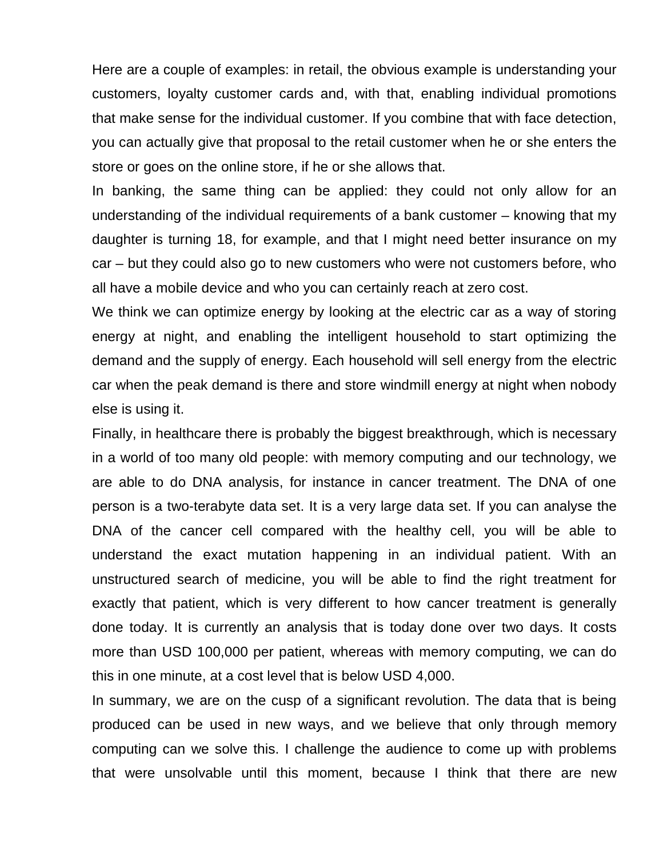Here are a couple of examples: in retail, the obvious example is understanding your customers, loyalty customer cards and, with that, enabling individual promotions that make sense for the individual customer. If you combine that with face detection, you can actually give that proposal to the retail customer when he or she enters the store or goes on the online store, if he or she allows that.

In banking, the same thing can be applied: they could not only allow for an understanding of the individual requirements of a bank customer – knowing that my daughter is turning 18, for example, and that I might need better insurance on my car – but they could also go to new customers who were not customers before, who all have a mobile device and who you can certainly reach at zero cost.

We think we can optimize energy by looking at the electric car as a way of storing energy at night, and enabling the intelligent household to start optimizing the demand and the supply of energy. Each household will sell energy from the electric car when the peak demand is there and store windmill energy at night when nobody else is using it.

Finally, in healthcare there is probably the biggest breakthrough, which is necessary in a world of too many old people: with memory computing and our technology, we are able to do DNA analysis, for instance in cancer treatment. The DNA of one person is a two-terabyte data set. It is a very large data set. If you can analyse the DNA of the cancer cell compared with the healthy cell, you will be able to understand the exact mutation happening in an individual patient. With an unstructured search of medicine, you will be able to find the right treatment for exactly that patient, which is very different to how cancer treatment is generally done today. It is currently an analysis that is today done over two days. It costs more than USD 100,000 per patient, whereas with memory computing, we can do this in one minute, at a cost level that is below USD 4,000.

In summary, we are on the cusp of a significant revolution. The data that is being produced can be used in new ways, and we believe that only through memory computing can we solve this. I challenge the audience to come up with problems that were unsolvable until this moment, because I think that there are new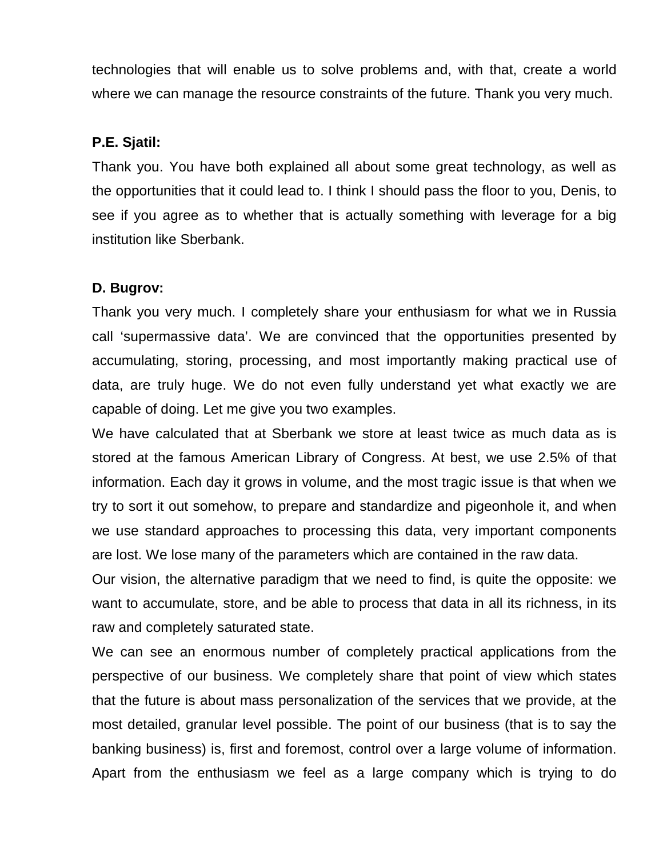technologies that will enable us to solve problems and, with that, create a world where we can manage the resource constraints of the future. Thank you very much.

#### **P.E. Sjatil:**

Thank you. You have both explained all about some great technology, as well as the opportunities that it could lead to. I think I should pass the floor to you, Denis, to see if you agree as to whether that is actually something with leverage for a big institution like Sberbank.

### **D. Bugrov:**

Thank you very much. I completely share your enthusiasm for what we in Russia call 'supermassive data'. We are convinced that the opportunities presented by accumulating, storing, processing, and most importantly making practical use of data, are truly huge. We do not even fully understand yet what exactly we are capable of doing. Let me give you two examples.

We have calculated that at Sberbank we store at least twice as much data as is stored at the famous American Library of Congress. At best, we use 2.5% of that information. Each day it grows in volume, and the most tragic issue is that when we try to sort it out somehow, to prepare and standardize and pigeonhole it, and when we use standard approaches to processing this data, very important components are lost. We lose many of the parameters which are contained in the raw data.

Our vision, the alternative paradigm that we need to find, is quite the opposite: we want to accumulate, store, and be able to process that data in all its richness, in its raw and completely saturated state.

We can see an enormous number of completely practical applications from the perspective of our business. We completely share that point of view which states that the future is about mass personalization of the services that we provide, at the most detailed, granular level possible. The point of our business (that is to say the banking business) is, first and foremost, control over a large volume of information. Apart from the enthusiasm we feel as a large company which is trying to do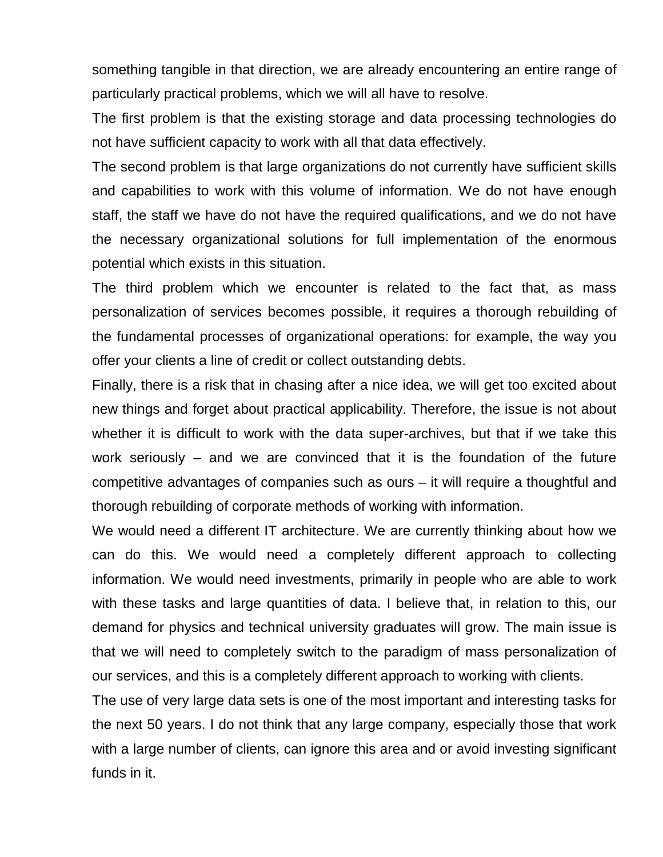something tangible in that direction, we are already encountering an entire range of particularly practical problems, which we will all have to resolve.

The first problem is that the existing storage and data processing technologies do not have sufficient capacity to work with all that data effectively.

The second problem is that large organizations do not currently have sufficient skills and capabilities to work with this volume of information. We do not have enough staff, the staff we have do not have the required qualifications, and we do not have the necessary organizational solutions for full implementation of the enormous potential which exists in this situation.

The third problem which we encounter is related to the fact that, as mass personalization of services becomes possible, it requires a thorough rebuilding of the fundamental processes of organizational operations: for example, the way you offer your clients a line of credit or collect outstanding debts.

Finally, there is a risk that in chasing after a nice idea, we will get too excited about new things and forget about practical applicability. Therefore, the issue is not about whether it is difficult to work with the data super-archives, but that if we take this work seriously – and we are convinced that it is the foundation of the future competitive advantages of companies such as ours – it will require a thoughtful and thorough rebuilding of corporate methods of working with information.

We would need a different IT architecture. We are currently thinking about how we can do this. We would need a completely different approach to collecting information. We would need investments, primarily in people who are able to work with these tasks and large quantities of data. I believe that, in relation to this, our demand for physics and technical university graduates will grow. The main issue is that we will need to completely switch to the paradigm of mass personalization of our services, and this is a completely different approach to working with clients.

The use of very large data sets is one of the most important and interesting tasks for the next 50 years. I do not think that any large company, especially those that work with a large number of clients, can ignore this area and or avoid investing significant funds in it.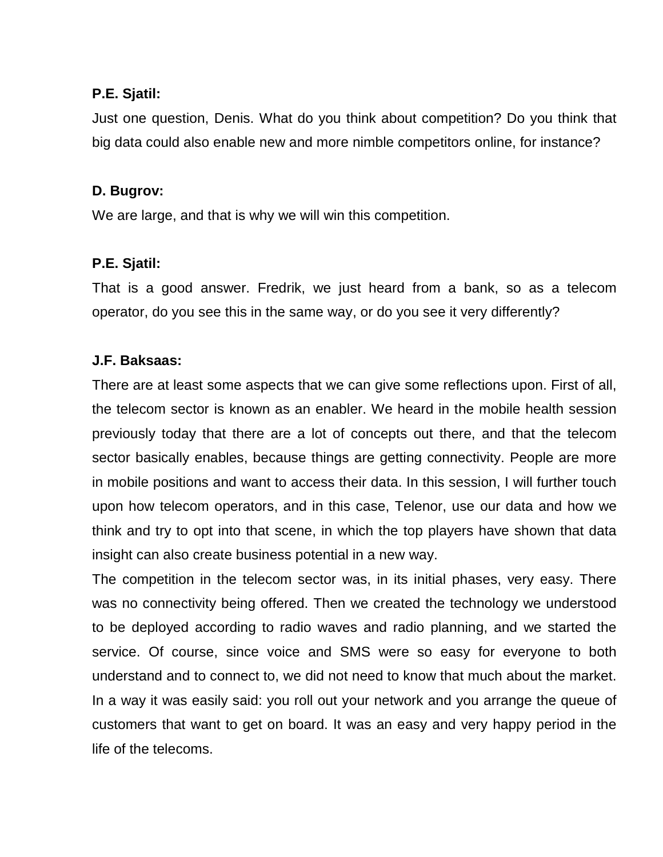#### **P.E. Sjatil:**

Just one question, Denis. What do you think about competition? Do you think that big data could also enable new and more nimble competitors online, for instance?

### **D. Bugrov:**

We are large, and that is why we will win this competition.

### **P.E. Sjatil:**

That is a good answer. Fredrik, we just heard from a bank, so as a telecom operator, do you see this in the same way, or do you see it very differently?

# **J.F. Baksaas:**

There are at least some aspects that we can give some reflections upon. First of all, the telecom sector is known as an enabler. We heard in the mobile health session previously today that there are a lot of concepts out there, and that the telecom sector basically enables, because things are getting connectivity. People are more in mobile positions and want to access their data. In this session, I will further touch upon how telecom operators, and in this case, Telenor, use our data and how we think and try to opt into that scene, in which the top players have shown that data insight can also create business potential in a new way.

The competition in the telecom sector was, in its initial phases, very easy. There was no connectivity being offered. Then we created the technology we understood to be deployed according to radio waves and radio planning, and we started the service. Of course, since voice and SMS were so easy for everyone to both understand and to connect to, we did not need to know that much about the market. In a way it was easily said: you roll out your network and you arrange the queue of customers that want to get on board. It was an easy and very happy period in the life of the telecoms.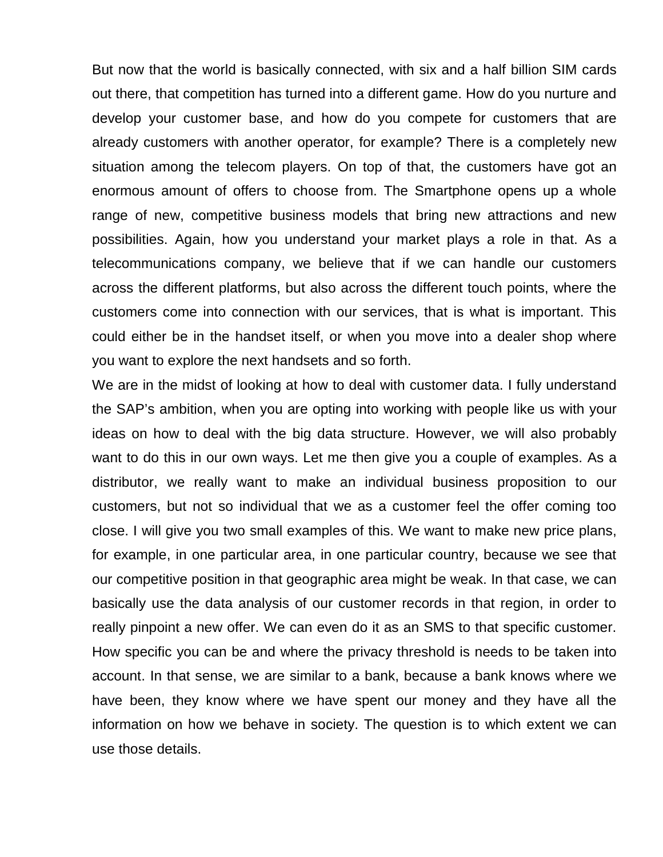But now that the world is basically connected, with six and a half billion SIM cards out there, that competition has turned into a different game. How do you nurture and develop your customer base, and how do you compete for customers that are already customers with another operator, for example? There is a completely new situation among the telecom players. On top of that, the customers have got an enormous amount of offers to choose from. The Smartphone opens up a whole range of new, competitive business models that bring new attractions and new possibilities. Again, how you understand your market plays a role in that. As a telecommunications company, we believe that if we can handle our customers across the different platforms, but also across the different touch points, where the customers come into connection with our services, that is what is important. This could either be in the handset itself, or when you move into a dealer shop where you want to explore the next handsets and so forth.

We are in the midst of looking at how to deal with customer data. I fully understand the SAP's ambition, when you are opting into working with people like us with your ideas on how to deal with the big data structure. However, we will also probably want to do this in our own ways. Let me then give you a couple of examples. As a distributor, we really want to make an individual business proposition to our customers, but not so individual that we as a customer feel the offer coming too close. I will give you two small examples of this. We want to make new price plans, for example, in one particular area, in one particular country, because we see that our competitive position in that geographic area might be weak. In that case, we can basically use the data analysis of our customer records in that region, in order to really pinpoint a new offer. We can even do it as an SMS to that specific customer. How specific you can be and where the privacy threshold is needs to be taken into account. In that sense, we are similar to a bank, because a bank knows where we have been, they know where we have spent our money and they have all the information on how we behave in society. The question is to which extent we can use those details.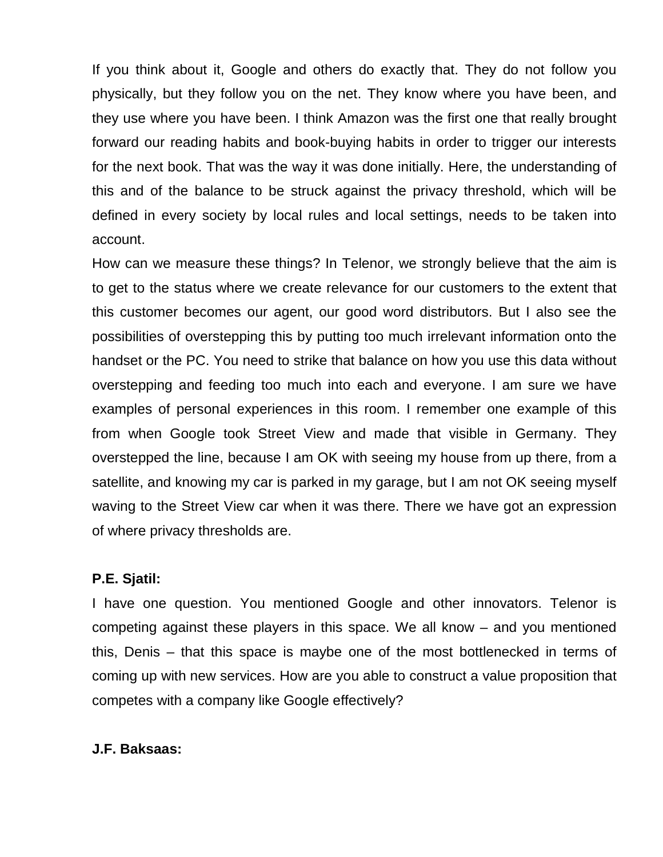If you think about it, Google and others do exactly that. They do not follow you physically, but they follow you on the net. They know where you have been, and they use where you have been. I think Amazon was the first one that really brought forward our reading habits and book-buying habits in order to trigger our interests for the next book. That was the way it was done initially. Here, the understanding of this and of the balance to be struck against the privacy threshold, which will be defined in every society by local rules and local settings, needs to be taken into account.

How can we measure these things? In Telenor, we strongly believe that the aim is to get to the status where we create relevance for our customers to the extent that this customer becomes our agent, our good word distributors. But I also see the possibilities of overstepping this by putting too much irrelevant information onto the handset or the PC. You need to strike that balance on how you use this data without overstepping and feeding too much into each and everyone. I am sure we have examples of personal experiences in this room. I remember one example of this from when Google took Street View and made that visible in Germany. They overstepped the line, because I am OK with seeing my house from up there, from a satellite, and knowing my car is parked in my garage, but I am not OK seeing myself waving to the Street View car when it was there. There we have got an expression of where privacy thresholds are.

#### **P.E. Sjatil:**

I have one question. You mentioned Google and other innovators. Telenor is competing against these players in this space. We all know – and you mentioned this, Denis – that this space is maybe one of the most bottlenecked in terms of coming up with new services. How are you able to construct a value proposition that competes with a company like Google effectively?

#### **J.F. Baksaas:**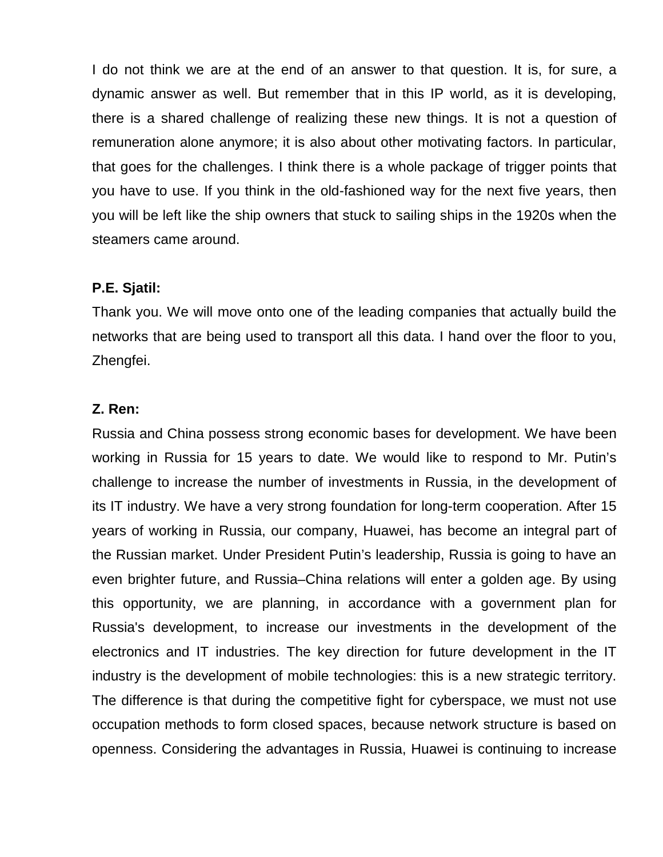I do not think we are at the end of an answer to that question. It is, for sure, a dynamic answer as well. But remember that in this IP world, as it is developing, there is a shared challenge of realizing these new things. It is not a question of remuneration alone anymore; it is also about other motivating factors. In particular, that goes for the challenges. I think there is a whole package of trigger points that you have to use. If you think in the old-fashioned way for the next five years, then you will be left like the ship owners that stuck to sailing ships in the 1920s when the steamers came around.

### **P.E. Sjatil:**

Thank you. We will move onto one of the leading companies that actually build the networks that are being used to transport all this data. I hand over the floor to you, Zhengfei.

### **Z. Ren:**

Russia and China possess strong economic bases for development. We have been working in Russia for 15 years to date. We would like to respond to Mr. Putin's challenge to increase the number of investments in Russia, in the development of its IT industry. We have a very strong foundation for long-term cooperation. After 15 years of working in Russia, our company, Huawei, has become an integral part of the Russian market. Under President Putin's leadership, Russia is going to have an even brighter future, and Russia–China relations will enter a golden age. By using this opportunity, we are planning, in accordance with a government plan for Russia's development, to increase our investments in the development of the electronics and IT industries. The key direction for future development in the IT industry is the development of mobile technologies: this is a new strategic territory. The difference is that during the competitive fight for cyberspace, we must not use occupation methods to form closed spaces, because network structure is based on openness. Considering the advantages in Russia, Huawei is continuing to increase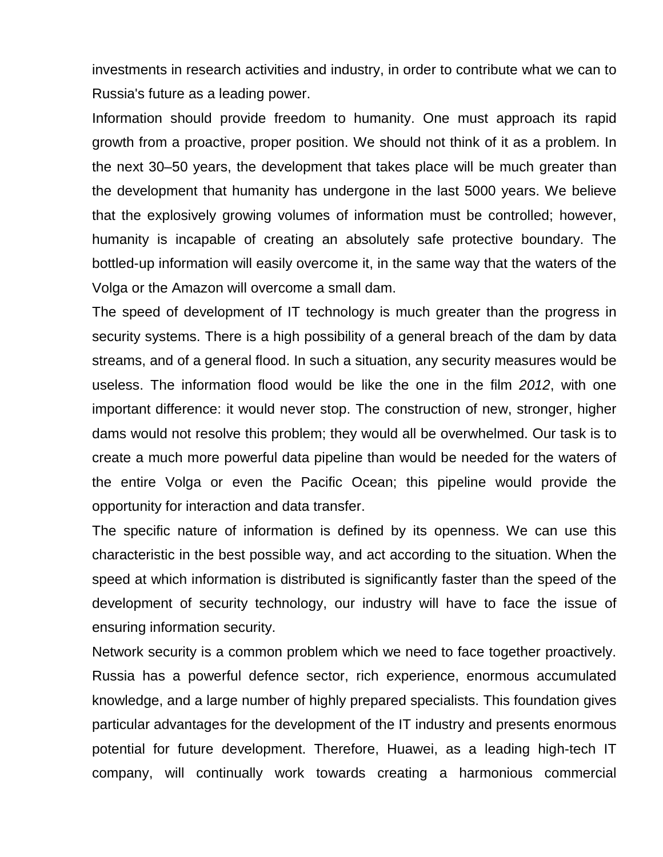investments in research activities and industry, in order to contribute what we can to Russia's future as a leading power.

Information should provide freedom to humanity. One must approach its rapid growth from a proactive, proper position. We should not think of it as a problem. In the next 30–50 years, the development that takes place will be much greater than the development that humanity has undergone in the last 5000 years. We believe that the explosively growing volumes of information must be controlled; however, humanity is incapable of creating an absolutely safe protective boundary. The bottled-up information will easily overcome it, in the same way that the waters of the Volga or the Amazon will overcome a small dam.

The speed of development of IT technology is much greater than the progress in security systems. There is a high possibility of a general breach of the dam by data streams, and of a general flood. In such a situation, any security measures would be useless. The information flood would be like the one in the film *2012*, with one important difference: it would never stop. The construction of new, stronger, higher dams would not resolve this problem; they would all be overwhelmed. Our task is to create a much more powerful data pipeline than would be needed for the waters of the entire Volga or even the Pacific Ocean; this pipeline would provide the opportunity for interaction and data transfer.

The specific nature of information is defined by its openness. We can use this characteristic in the best possible way, and act according to the situation. When the speed at which information is distributed is significantly faster than the speed of the development of security technology, our industry will have to face the issue of ensuring information security.

Network security is a common problem which we need to face together proactively. Russia has a powerful defence sector, rich experience, enormous accumulated knowledge, and a large number of highly prepared specialists. This foundation gives particular advantages for the development of the IT industry and presents enormous potential for future development. Therefore, Huawei, as a leading high-tech IT company, will continually work towards creating a harmonious commercial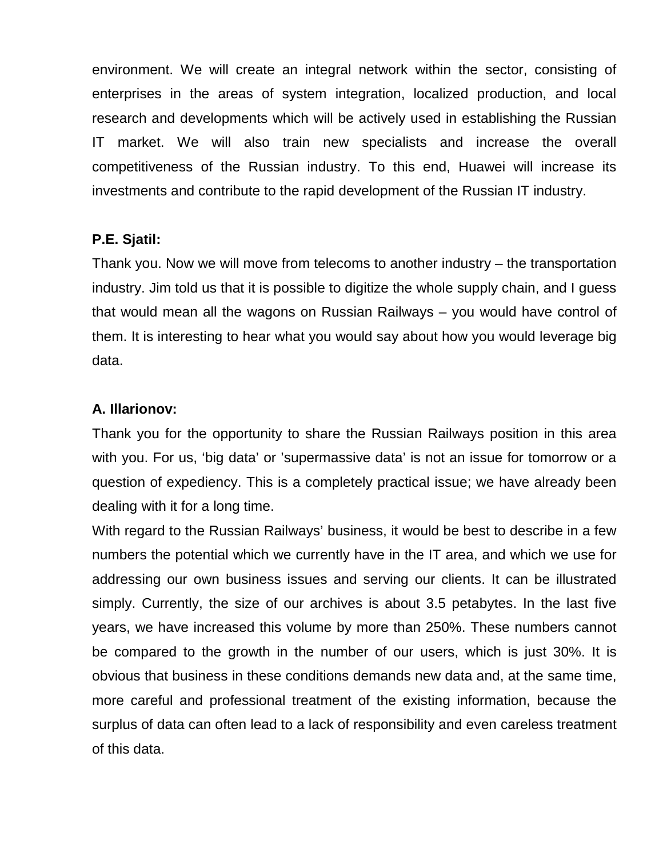environment. We will create an integral network within the sector, consisting of enterprises in the areas of system integration, localized production, and local research and developments which will be actively used in establishing the Russian IT market. We will also train new specialists and increase the overall competitiveness of the Russian industry. To this end, Huawei will increase its investments and contribute to the rapid development of the Russian IT industry.

### **P.E. Sjatil:**

Thank you. Now we will move from telecoms to another industry – the transportation industry. Jim told us that it is possible to digitize the whole supply chain, and I guess that would mean all the wagons on Russian Railways – you would have control of them. It is interesting to hear what you would say about how you would leverage big data.

### **A. Illarionov:**

Thank you for the opportunity to share the Russian Railways position in this area with you. For us, 'big data' or 'supermassive data' is not an issue for tomorrow or a question of expediency. This is a completely practical issue; we have already been dealing with it for a long time.

With regard to the Russian Railways' business, it would be best to describe in a few numbers the potential which we currently have in the IT area, and which we use for addressing our own business issues and serving our clients. It can be illustrated simply. Currently, the size of our archives is about 3.5 petabytes. In the last five years, we have increased this volume by more than 250%. These numbers cannot be compared to the growth in the number of our users, which is just 30%. It is obvious that business in these conditions demands new data and, at the same time, more careful and professional treatment of the existing information, because the surplus of data can often lead to a lack of responsibility and even careless treatment of this data.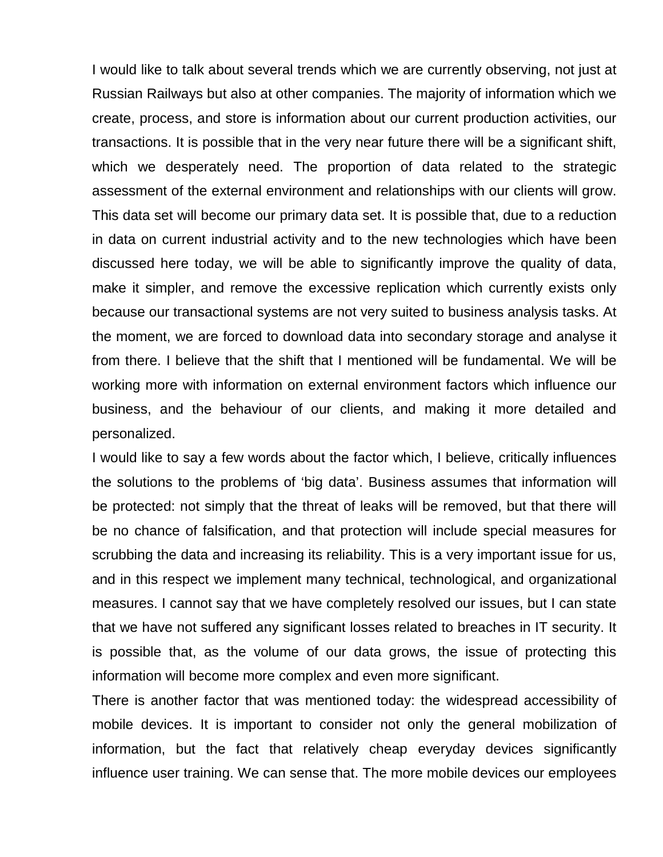I would like to talk about several trends which we are currently observing, not just at Russian Railways but also at other companies. The majority of information which we create, process, and store is information about our current production activities, our transactions. It is possible that in the very near future there will be a significant shift, which we desperately need. The proportion of data related to the strategic assessment of the external environment and relationships with our clients will grow. This data set will become our primary data set. It is possible that, due to a reduction in data on current industrial activity and to the new technologies which have been discussed here today, we will be able to significantly improve the quality of data, make it simpler, and remove the excessive replication which currently exists only because our transactional systems are not very suited to business analysis tasks. At the moment, we are forced to download data into secondary storage and analyse it from there. I believe that the shift that I mentioned will be fundamental. We will be working more with information on external environment factors which influence our business, and the behaviour of our clients, and making it more detailed and personalized.

I would like to say a few words about the factor which, I believe, critically influences the solutions to the problems of 'big data'. Business assumes that information will be protected: not simply that the threat of leaks will be removed, but that there will be no chance of falsification, and that protection will include special measures for scrubbing the data and increasing its reliability. This is a very important issue for us, and in this respect we implement many technical, technological, and organizational measures. I cannot say that we have completely resolved our issues, but I can state that we have not suffered any significant losses related to breaches in IT security. It is possible that, as the volume of our data grows, the issue of protecting this information will become more complex and even more significant.

There is another factor that was mentioned today: the widespread accessibility of mobile devices. It is important to consider not only the general mobilization of information, but the fact that relatively cheap everyday devices significantly influence user training. We can sense that. The more mobile devices our employees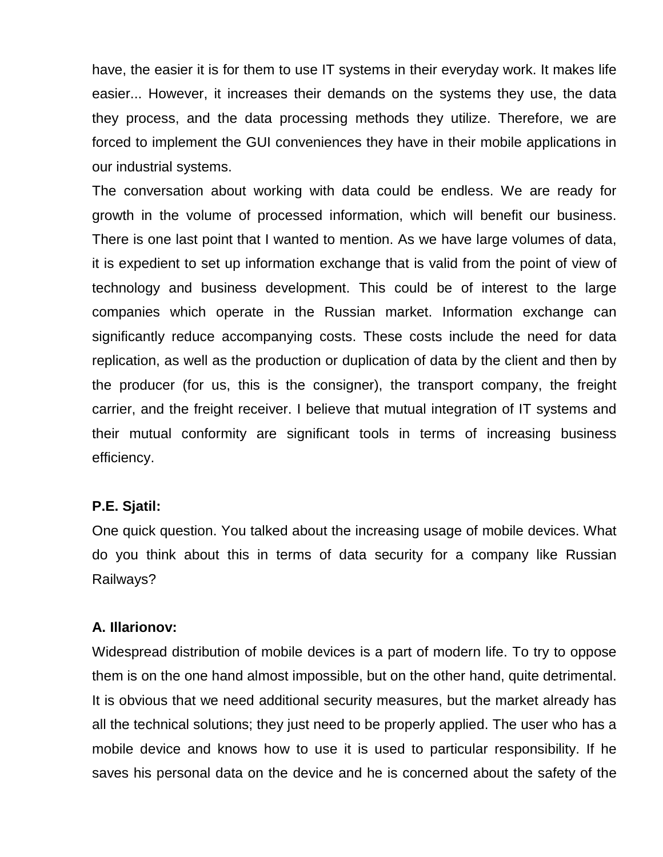have, the easier it is for them to use IT systems in their everyday work. It makes life easier... However, it increases their demands on the systems they use, the data they process, and the data processing methods they utilize. Therefore, we are forced to implement the GUI conveniences they have in their mobile applications in our industrial systems.

The conversation about working with data could be endless. We are ready for growth in the volume of processed information, which will benefit our business. There is one last point that I wanted to mention. As we have large volumes of data, it is expedient to set up information exchange that is valid from the point of view of technology and business development. This could be of interest to the large companies which operate in the Russian market. Information exchange can significantly reduce accompanying costs. These costs include the need for data replication, as well as the production or duplication of data by the client and then by the producer (for us, this is the consigner), the transport company, the freight carrier, and the freight receiver. I believe that mutual integration of IT systems and their mutual conformity are significant tools in terms of increasing business efficiency.

#### **P.E. Sjatil:**

One quick question. You talked about the increasing usage of mobile devices. What do you think about this in terms of data security for a company like Russian Railways?

#### **A. Illarionov:**

Widespread distribution of mobile devices is a part of modern life. To try to oppose them is on the one hand almost impossible, but on the other hand, quite detrimental. It is obvious that we need additional security measures, but the market already has all the technical solutions; they just need to be properly applied. The user who has a mobile device and knows how to use it is used to particular responsibility. If he saves his personal data on the device and he is concerned about the safety of the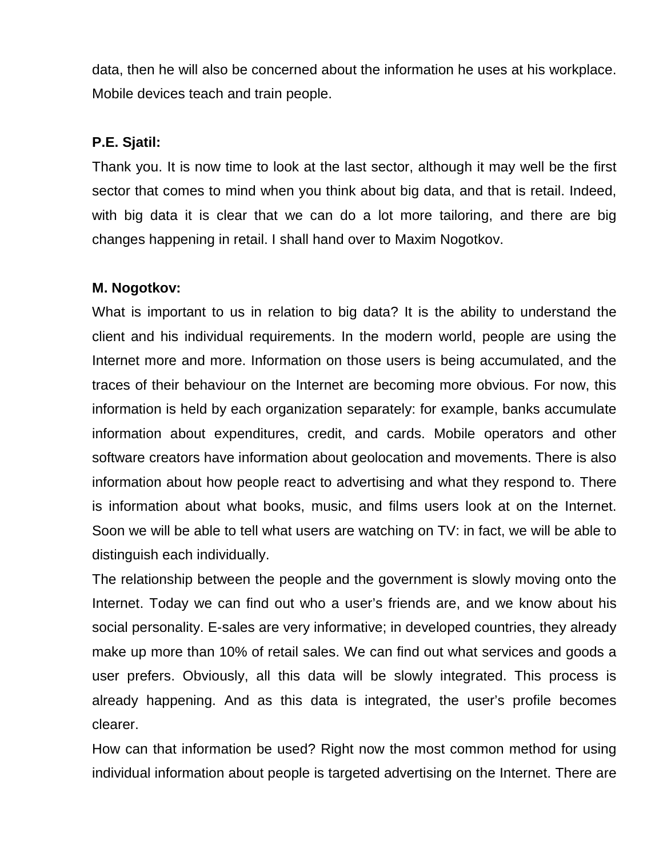data, then he will also be concerned about the information he uses at his workplace. Mobile devices teach and train people.

### **P.E. Sjatil:**

Thank you. It is now time to look at the last sector, although it may well be the first sector that comes to mind when you think about big data, and that is retail. Indeed, with big data it is clear that we can do a lot more tailoring, and there are big changes happening in retail. I shall hand over to Maxim Nogotkov.

### **M. Nogotkov:**

What is important to us in relation to big data? It is the ability to understand the client and his individual requirements. In the modern world, people are using the Internet more and more. Information on those users is being accumulated, and the traces of their behaviour on the Internet are becoming more obvious. For now, this information is held by each organization separately: for example, banks accumulate information about expenditures, credit, and cards. Mobile operators and other software creators have information about geolocation and movements. There is also information about how people react to advertising and what they respond to. There is information about what books, music, and films users look at on the Internet. Soon we will be able to tell what users are watching on TV: in fact, we will be able to distinguish each individually.

The relationship between the people and the government is slowly moving onto the Internet. Today we can find out who a user's friends are, and we know about his social personality. E-sales are very informative; in developed countries, they already make up more than 10% of retail sales. We can find out what services and goods a user prefers. Obviously, all this data will be slowly integrated. This process is already happening. And as this data is integrated, the user's profile becomes clearer.

How can that information be used? Right now the most common method for using individual information about people is targeted advertising on the Internet. There are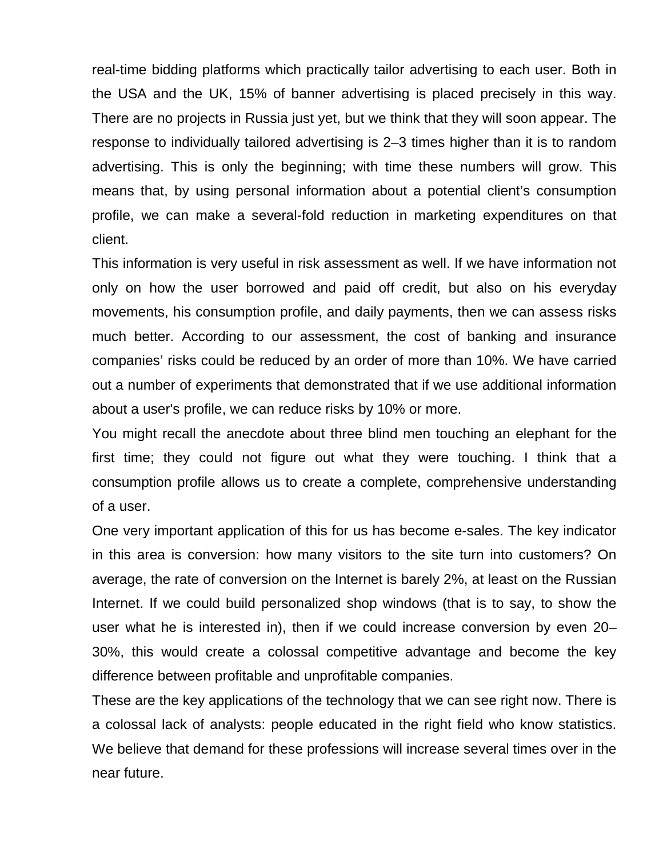real-time bidding platforms which practically tailor advertising to each user. Both in the USA and the UK, 15% of banner advertising is placed precisely in this way. There are no projects in Russia just yet, but we think that they will soon appear. The response to individually tailored advertising is 2–3 times higher than it is to random advertising. This is only the beginning; with time these numbers will grow. This means that, by using personal information about a potential client's consumption profile, we can make a several-fold reduction in marketing expenditures on that client.

This information is very useful in risk assessment as well. If we have information not only on how the user borrowed and paid off credit, but also on his everyday movements, his consumption profile, and daily payments, then we can assess risks much better. According to our assessment, the cost of banking and insurance companies' risks could be reduced by an order of more than 10%. We have carried out a number of experiments that demonstrated that if we use additional information about a user's profile, we can reduce risks by 10% or more.

You might recall the anecdote about three blind men touching an elephant for the first time; they could not figure out what they were touching. I think that a consumption profile allows us to create a complete, comprehensive understanding of a user.

One very important application of this for us has become e-sales. The key indicator in this area is conversion: how many visitors to the site turn into customers? On average, the rate of conversion on the Internet is barely 2%, at least on the Russian Internet. If we could build personalized shop windows (that is to say, to show the user what he is interested in), then if we could increase conversion by even 20– 30%, this would create a colossal competitive advantage and become the key difference between profitable and unprofitable companies.

These are the key applications of the technology that we can see right now. There is a colossal lack of analysts: people educated in the right field who know statistics. We believe that demand for these professions will increase several times over in the near future.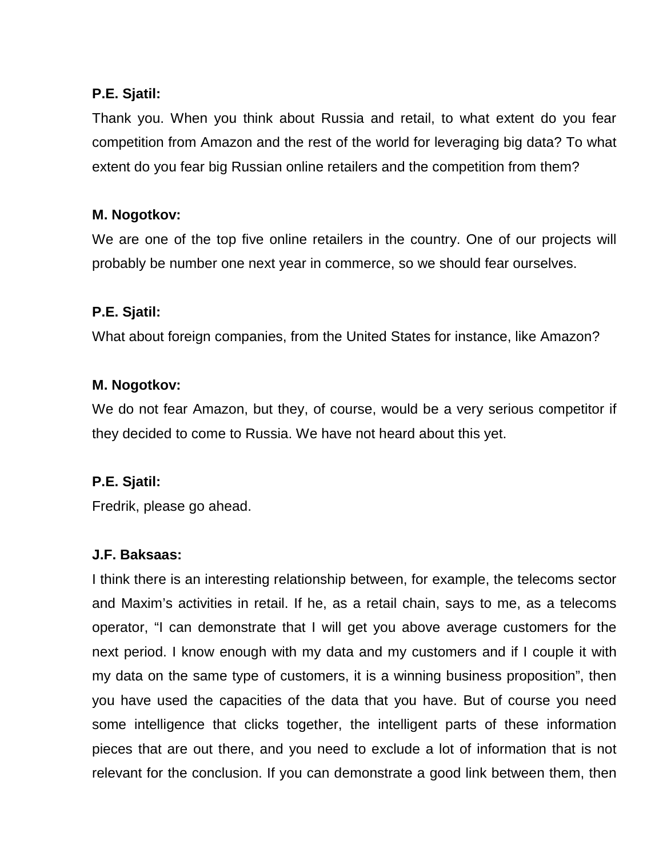## **P.E. Sjatil:**

Thank you. When you think about Russia and retail, to what extent do you fear competition from Amazon and the rest of the world for leveraging big data? To what extent do you fear big Russian online retailers and the competition from them?

# **M. Nogotkov:**

We are one of the top five online retailers in the country. One of our projects will probably be number one next year in commerce, so we should fear ourselves.

# **P.E. Sjatil:**

What about foreign companies, from the United States for instance, like Amazon?

### **M. Nogotkov:**

We do not fear Amazon, but they, of course, would be a very serious competitor if they decided to come to Russia. We have not heard about this yet.

### **P.E. Sjatil:**

Fredrik, please go ahead.

### **J.F. Baksaas:**

I think there is an interesting relationship between, for example, the telecoms sector and Maxim's activities in retail. If he, as a retail chain, says to me, as a telecoms operator, "I can demonstrate that I will get you above average customers for the next period. I know enough with my data and my customers and if I couple it with my data on the same type of customers, it is a winning business proposition", then you have used the capacities of the data that you have. But of course you need some intelligence that clicks together, the intelligent parts of these information pieces that are out there, and you need to exclude a lot of information that is not relevant for the conclusion. If you can demonstrate a good link between them, then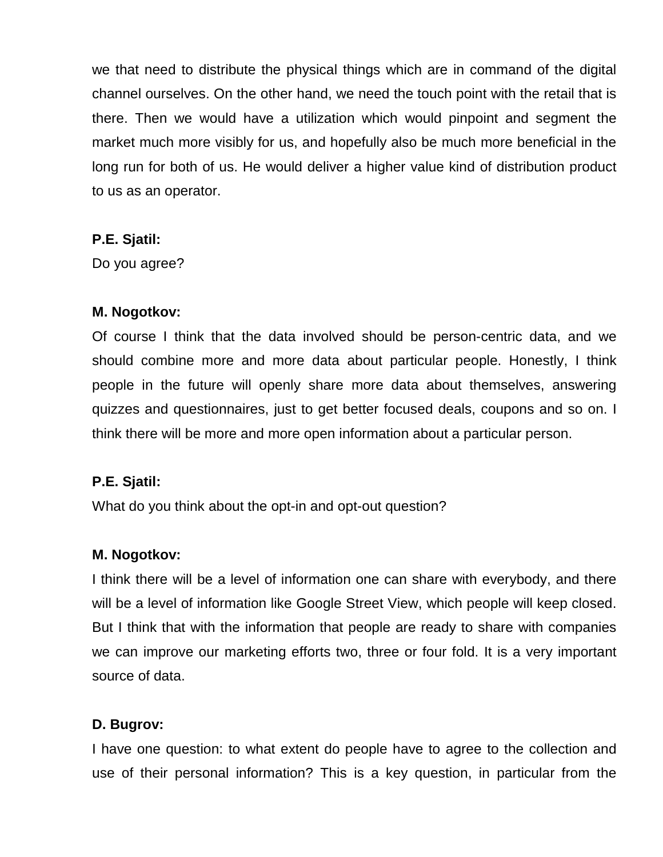we that need to distribute the physical things which are in command of the digital channel ourselves. On the other hand, we need the touch point with the retail that is there. Then we would have a utilization which would pinpoint and segment the market much more visibly for us, and hopefully also be much more beneficial in the long run for both of us. He would deliver a higher value kind of distribution product to us as an operator.

#### **P.E. Sjatil:**

Do you agree?

### **M. Nogotkov:**

Of course I think that the data involved should be person-centric data, and we should combine more and more data about particular people. Honestly, I think people in the future will openly share more data about themselves, answering quizzes and questionnaires, just to get better focused deals, coupons and so on. I think there will be more and more open information about a particular person.

### **P.E. Sjatil:**

What do you think about the opt-in and opt-out question?

### **M. Nogotkov:**

I think there will be a level of information one can share with everybody, and there will be a level of information like Google Street View, which people will keep closed. But I think that with the information that people are ready to share with companies we can improve our marketing efforts two, three or four fold. It is a very important source of data.

### **D. Bugrov:**

I have one question: to what extent do people have to agree to the collection and use of their personal information? This is a key question, in particular from the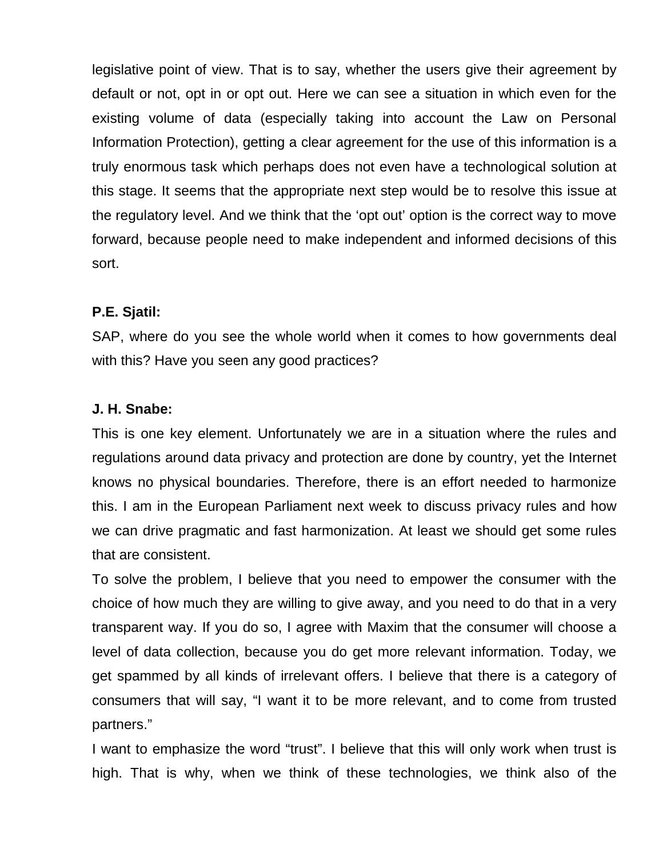legislative point of view. That is to say, whether the users give their agreement by default or not, opt in or opt out. Here we can see a situation in which even for the existing volume of data (especially taking into account the Law on Personal Information Protection), getting a clear agreement for the use of this information is a truly enormous task which perhaps does not even have a technological solution at this stage. It seems that the appropriate next step would be to resolve this issue at the regulatory level. And we think that the 'opt out' option is the correct way to move forward, because people need to make independent and informed decisions of this sort.

### **P.E. Sjatil:**

SAP, where do you see the whole world when it comes to how governments deal with this? Have you seen any good practices?

### **J. H. Snabe:**

This is one key element. Unfortunately we are in a situation where the rules and regulations around data privacy and protection are done by country, yet the Internet knows no physical boundaries. Therefore, there is an effort needed to harmonize this. I am in the European Parliament next week to discuss privacy rules and how we can drive pragmatic and fast harmonization. At least we should get some rules that are consistent.

To solve the problem, I believe that you need to empower the consumer with the choice of how much they are willing to give away, and you need to do that in a very transparent way. If you do so, I agree with Maxim that the consumer will choose a level of data collection, because you do get more relevant information. Today, we get spammed by all kinds of irrelevant offers. I believe that there is a category of consumers that will say, "I want it to be more relevant, and to come from trusted partners."

I want to emphasize the word "trust". I believe that this will only work when trust is high. That is why, when we think of these technologies, we think also of the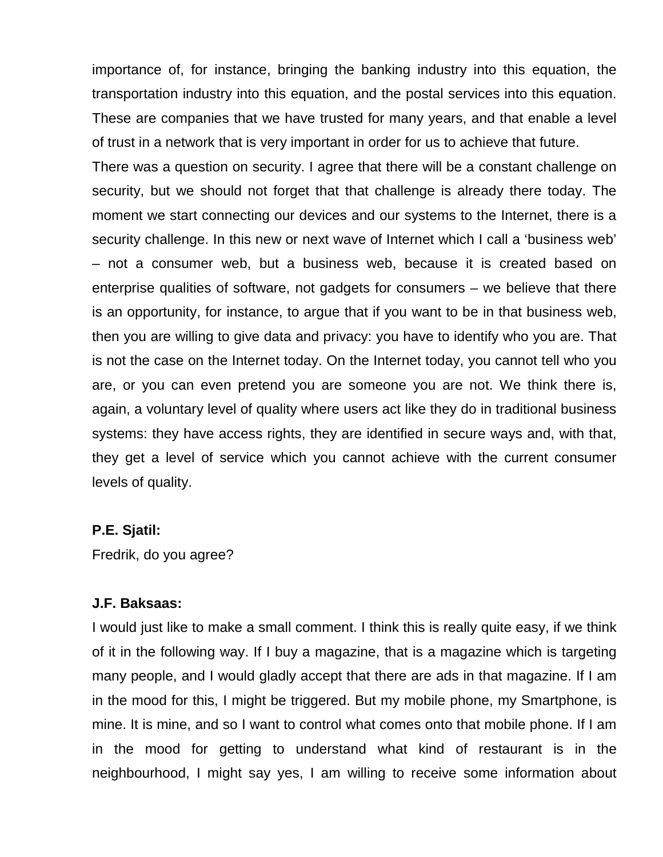importance of, for instance, bringing the banking industry into this equation, the transportation industry into this equation, and the postal services into this equation. These are companies that we have trusted for many years, and that enable a level of trust in a network that is very important in order for us to achieve that future.

There was a question on security. I agree that there will be a constant challenge on security, but we should not forget that that challenge is already there today. The moment we start connecting our devices and our systems to the Internet, there is a security challenge. In this new or next wave of Internet which I call a 'business web' – not a consumer web, but a business web, because it is created based on enterprise qualities of software, not gadgets for consumers – we believe that there is an opportunity, for instance, to argue that if you want to be in that business web, then you are willing to give data and privacy: you have to identify who you are. That is not the case on the Internet today. On the Internet today, you cannot tell who you are, or you can even pretend you are someone you are not. We think there is, again, a voluntary level of quality where users act like they do in traditional business systems: they have access rights, they are identified in secure ways and, with that, they get a level of service which you cannot achieve with the current consumer levels of quality.

#### **P.E. Sjatil:**

Fredrik, do you agree?

#### **J.F. Baksaas:**

I would just like to make a small comment. I think this is really quite easy, if we think of it in the following way. If I buy a magazine, that is a magazine which is targeting many people, and I would gladly accept that there are ads in that magazine. If I am in the mood for this, I might be triggered. But my mobile phone, my Smartphone, is mine. It is mine, and so I want to control what comes onto that mobile phone. If I am in the mood for getting to understand what kind of restaurant is in the neighbourhood, I might say yes, I am willing to receive some information about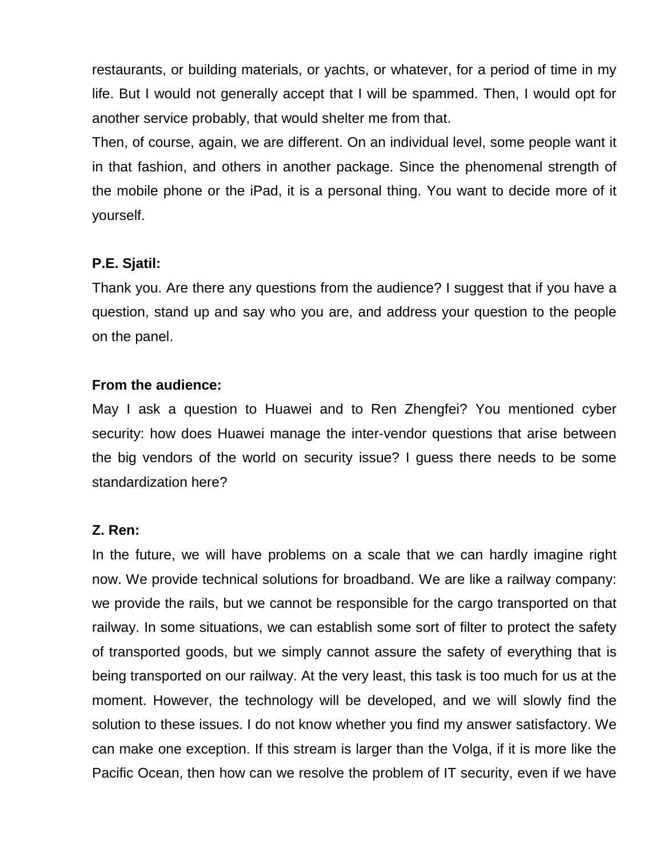restaurants, or building materials, or yachts, or whatever, for a period of time in my life. But I would not generally accept that I will be spammed. Then, I would opt for another service probably, that would shelter me from that.

Then, of course, again, we are different. On an individual level, some people want it in that fashion, and others in another package. Since the phenomenal strength of the mobile phone or the iPad, it is a personal thing. You want to decide more of it yourself.

#### **P.E. Sjatil:**

Thank you. Are there any questions from the audience? I suggest that if you have a question, stand up and say who you are, and address your question to the people on the panel.

#### **From the audience:**

May I ask a question to Huawei and to Ren Zhengfei? You mentioned cyber security: how does Huawei manage the inter-vendor questions that arise between the big vendors of the world on security issue? I guess there needs to be some standardization here?

### **Z. Ren:**

In the future, we will have problems on a scale that we can hardly imagine right now. We provide technical solutions for broadband. We are like a railway company: we provide the rails, but we cannot be responsible for the cargo transported on that railway. In some situations, we can establish some sort of filter to protect the safety of transported goods, but we simply cannot assure the safety of everything that is being transported on our railway. At the very least, this task is too much for us at the moment. However, the technology will be developed, and we will slowly find the solution to these issues. I do not know whether you find my answer satisfactory. We can make one exception. If this stream is larger than the Volga, if it is more like the Pacific Ocean, then how can we resolve the problem of IT security, even if we have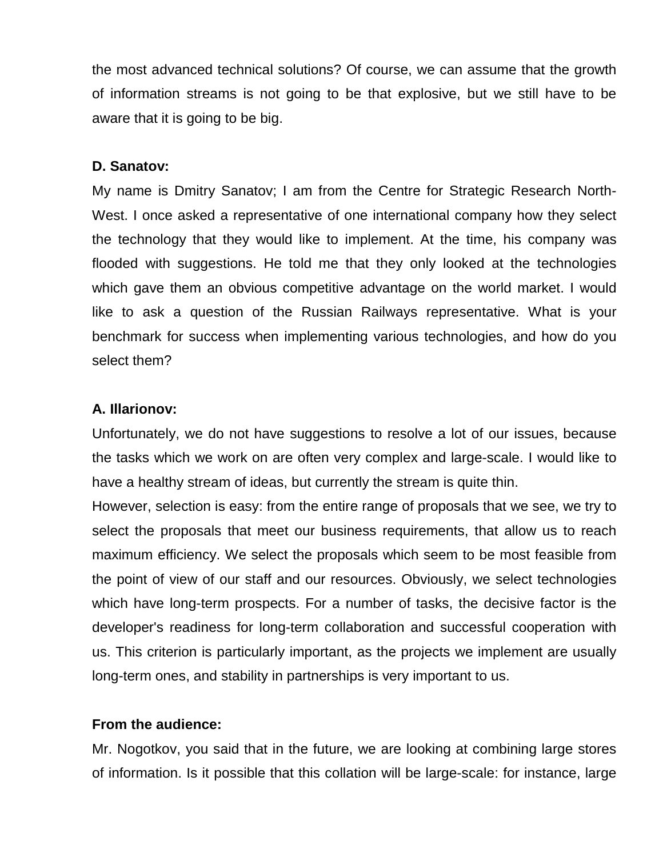the most advanced technical solutions? Of course, we can assume that the growth of information streams is not going to be that explosive, but we still have to be aware that it is going to be big.

#### **D. Sanatov:**

My name is Dmitry Sanatov; I am from the Centre for Strategic Research North-West. I once asked a representative of one international company how they select the technology that they would like to implement. At the time, his company was flooded with suggestions. He told me that they only looked at the technologies which gave them an obvious competitive advantage on the world market. I would like to ask a question of the Russian Railways representative. What is your benchmark for success when implementing various technologies, and how do you select them?

#### **A. Illarionov:**

Unfortunately, we do not have suggestions to resolve a lot of our issues, because the tasks which we work on are often very complex and large-scale. I would like to have a healthy stream of ideas, but currently the stream is quite thin.

However, selection is easy: from the entire range of proposals that we see, we try to select the proposals that meet our business requirements, that allow us to reach maximum efficiency. We select the proposals which seem to be most feasible from the point of view of our staff and our resources. Obviously, we select technologies which have long-term prospects. For a number of tasks, the decisive factor is the developer's readiness for long-term collaboration and successful cooperation with us. This criterion is particularly important, as the projects we implement are usually long-term ones, and stability in partnerships is very important to us.

#### **From the audience:**

Mr. Nogotkov, you said that in the future, we are looking at combining large stores of information. Is it possible that this collation will be large-scale: for instance, large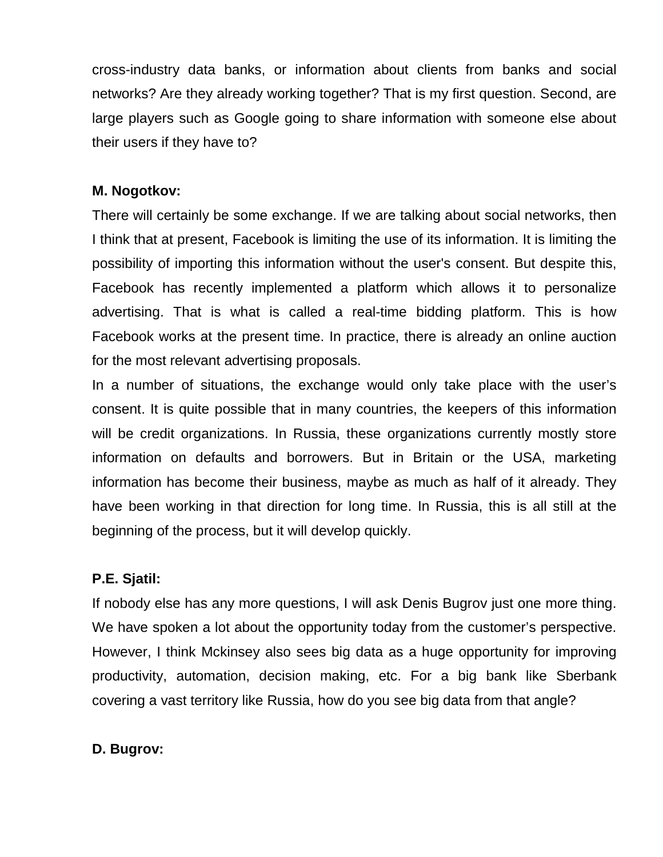cross-industry data banks, or information about clients from banks and social networks? Are they already working together? That is my first question. Second, are large players such as Google going to share information with someone else about their users if they have to?

#### **M. Nogotkov:**

There will certainly be some exchange. If we are talking about social networks, then I think that at present, Facebook is limiting the use of its information. It is limiting the possibility of importing this information without the user's consent. But despite this, Facebook has recently implemented a platform which allows it to personalize advertising. That is what is called a real-time bidding platform. This is how Facebook works at the present time. In practice, there is already an online auction for the most relevant advertising proposals.

In a number of situations, the exchange would only take place with the user's consent. It is quite possible that in many countries, the keepers of this information will be credit organizations. In Russia, these organizations currently mostly store information on defaults and borrowers. But in Britain or the USA, marketing information has become their business, maybe as much as half of it already. They have been working in that direction for long time. In Russia, this is all still at the beginning of the process, but it will develop quickly.

#### **P.E. Sjatil:**

If nobody else has any more questions, I will ask Denis Bugrov just one more thing. We have spoken a lot about the opportunity today from the customer's perspective. However, I think Mckinsey also sees big data as a huge opportunity for improving productivity, automation, decision making, etc. For a big bank like Sberbank covering a vast territory like Russia, how do you see big data from that angle?

#### **D. Bugrov:**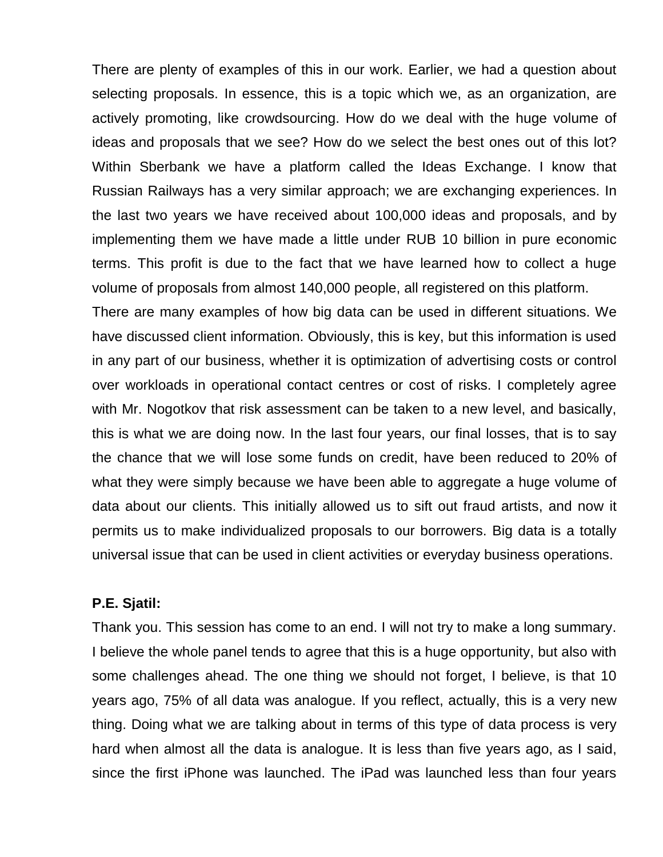There are plenty of examples of this in our work. Earlier, we had a question about selecting proposals. In essence, this is a topic which we, as an organization, are actively promoting, like crowdsourcing. How do we deal with the huge volume of ideas and proposals that we see? How do we select the best ones out of this lot? Within Sberbank we have a platform called the Ideas Exchange. I know that Russian Railways has a very similar approach; we are exchanging experiences. In the last two years we have received about 100,000 ideas and proposals, and by implementing them we have made a little under RUB 10 billion in pure economic terms. This profit is due to the fact that we have learned how to collect a huge volume of proposals from almost 140,000 people, all registered on this platform.

There are many examples of how big data can be used in different situations. We have discussed client information. Obviously, this is key, but this information is used in any part of our business, whether it is optimization of advertising costs or control over workloads in operational contact centres or cost of risks. I completely agree with Mr. Nogotkov that risk assessment can be taken to a new level, and basically, this is what we are doing now. In the last four years, our final losses, that is to say the chance that we will lose some funds on credit, have been reduced to 20% of what they were simply because we have been able to aggregate a huge volume of data about our clients. This initially allowed us to sift out fraud artists, and now it permits us to make individualized proposals to our borrowers. Big data is a totally universal issue that can be used in client activities or everyday business operations.

#### **P.E. Sjatil:**

Thank you. This session has come to an end. I will not try to make a long summary. I believe the whole panel tends to agree that this is a huge opportunity, but also with some challenges ahead. The one thing we should not forget, I believe, is that 10 years ago, 75% of all data was analogue. If you reflect, actually, this is a very new thing. Doing what we are talking about in terms of this type of data process is very hard when almost all the data is analogue. It is less than five years ago, as I said, since the first iPhone was launched. The iPad was launched less than four years